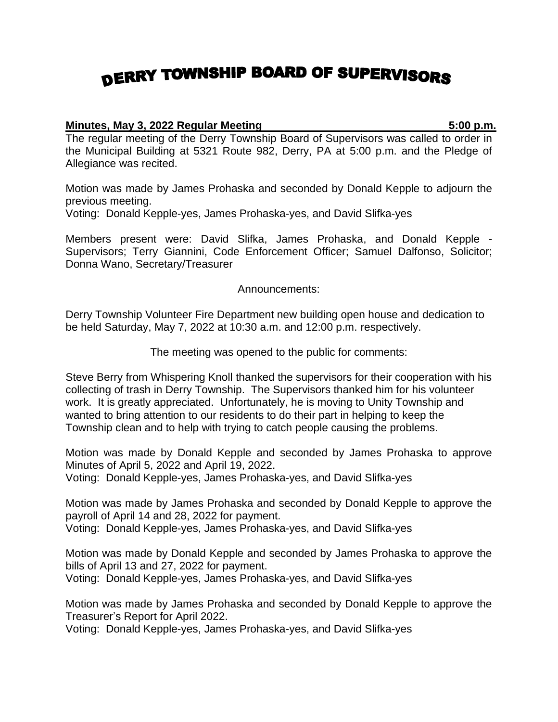## DERRY TOWNSHIP BOARD OF SUPERVISORS

## **Minutes, May 3, 2022 Regular Meeting 5:00 p.m.**

The regular meeting of the Derry Township Board of Supervisors was called to order in the Municipal Building at 5321 Route 982, Derry, PA at 5:00 p.m. and the Pledge of Allegiance was recited.

Motion was made by James Prohaska and seconded by Donald Kepple to adjourn the previous meeting.

Voting: Donald Kepple-yes, James Prohaska-yes, and David Slifka-yes

Members present were: David Slifka, James Prohaska, and Donald Kepple - Supervisors; Terry Giannini, Code Enforcement Officer; Samuel Dalfonso, Solicitor; Donna Wano, Secretary/Treasurer

Announcements:

Derry Township Volunteer Fire Department new building open house and dedication to be held Saturday, May 7, 2022 at 10:30 a.m. and 12:00 p.m. respectively.

The meeting was opened to the public for comments:

Steve Berry from Whispering Knoll thanked the supervisors for their cooperation with his collecting of trash in Derry Township. The Supervisors thanked him for his volunteer work. It is greatly appreciated. Unfortunately, he is moving to Unity Township and wanted to bring attention to our residents to do their part in helping to keep the Township clean and to help with trying to catch people causing the problems.

Motion was made by Donald Kepple and seconded by James Prohaska to approve Minutes of April 5, 2022 and April 19, 2022.

Voting: Donald Kepple-yes, James Prohaska-yes, and David Slifka-yes

Motion was made by James Prohaska and seconded by Donald Kepple to approve the payroll of April 14 and 28, 2022 for payment.

Voting: Donald Kepple-yes, James Prohaska-yes, and David Slifka-yes

Motion was made by Donald Kepple and seconded by James Prohaska to approve the bills of April 13 and 27, 2022 for payment. Voting: Donald Kepple-yes, James Prohaska-yes, and David Slifka-yes

Motion was made by James Prohaska and seconded by Donald Kepple to approve the Treasurer's Report for April 2022.

Voting: Donald Kepple-yes, James Prohaska-yes, and David Slifka-yes